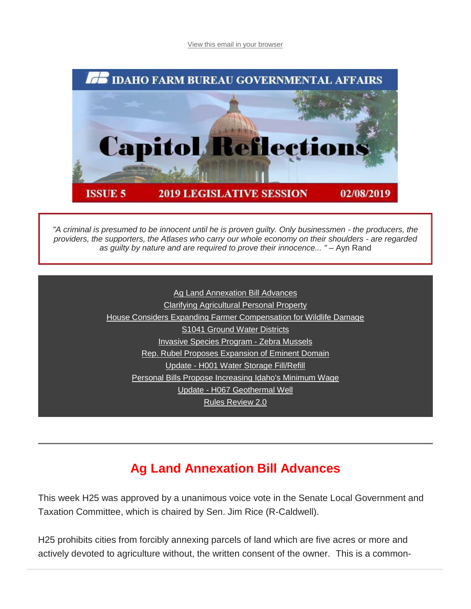[View this email in your browser](https://mailchi.mp/idahofb.org/capitol-reflections-issue-5?e=a4ab29d1bd)



*"A criminal is presumed to be innocent until he is proven guilty. Only businessmen - the producers, the providers, the supporters, the Atlases who carry our whole economy on their shoulders - are regarded as guilty by nature and are required to prove their innocence... "* – Ayn Rand

> [A](https://mailchi.mp/idahofb.org/capitol-reflections-issue-5?e=a4ab29d1bd#Fill/Refill)[g Land Annexation Bill Advances](https://mailchi.mp/idahofb.org/capitol-reflections-issue-5?e=a4ab29d1bd#Ag%20Land) [Clarifying Agricultural Personal Property](https://mailchi.mp/idahofb.org/capitol-reflections-issue-5?e=a4ab29d1bd#Clarif%20Ag) [House Considers Expanding Farmer Compensation for Wildlife Damage](https://mailchi.mp/idahofb.org/capitol-reflections-issue-5?e=a4ab29d1bd#House%20Considers) [S1041 Ground Water Districts](https://mailchi.mp/idahofb.org/capitol-reflections-issue-5?e=a4ab29d1bd#S1041) [Invasive Species Program -](https://mailchi.mp/idahofb.org/capitol-reflections-issue-5?e=a4ab29d1bd#Invasive) Zebra Mussels [R](https://mailchi.mp/idahofb.org/capitol-reflections-issue-5?e=a4ab29d1bd#Financial)[ep. Rubel Proposes Expansion of Eminent Domain](https://mailchi.mp/idahofb.org/capitol-reflections-issue-5?e=a4ab29d1bd#Rep%20Rubel) [Up](https://mailchi.mp/idahofb.org/capitol-reflections-issue-5?e=a4ab29d1bd#IDT)date - [H001 Water Storage Fill/Refill](https://mailchi.mp/idahofb.org/capitol-reflections-issue-5?e=a4ab29d1bd#Update%20H001) [P](https://mailchi.mp/idahofb.org/capitol-reflections-issue-5?e=a4ab29d1bd#Speaker)[ersonal Bills Propose Increasing Idaho's Minimum Wage](https://mailchi.mp/idahofb.org/capitol-reflections-issue-5?e=a4ab29d1bd#Personal%20bills) Update - [H067 Geothermal Well](https://mailchi.mp/idahofb.org/capitol-reflections-issue-5?e=a4ab29d1bd#Update%20H067) [Rules Review 2.0](https://mailchi.mp/idahofb.org/capitol-reflections-issue-5?e=a4ab29d1bd#Rules%20Review)

## **Ag Land Annexation Bill Advances**

This week H25 was approved by a unanimous voice vote in the Senate Local Government and Taxation Committee, which is chaired by Sen. Jim Rice (R-Caldwell).

H25 prohibits cities from forcibly annexing parcels of land which are five acres or more and actively devoted to agriculture without, the written consent of the owner. This is a common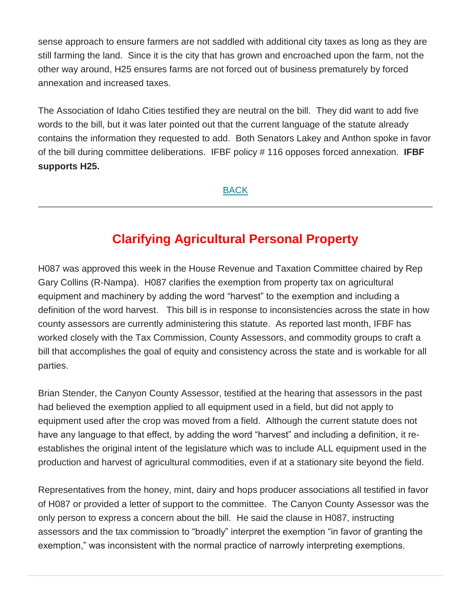sense approach to ensure farmers are not saddled with additional city taxes as long as they are still farming the land. Since it is the city that has grown and encroached upon the farm, not the other way around, H25 ensures farms are not forced out of business prematurely by forced annexation and increased taxes.

The Association of Idaho Cities testified they are neutral on the bill. They did want to add five words to the bill, but it was later pointed out that the current language of the statute already contains the information they requested to add. Both Senators Lakey and Anthon spoke in favor of the bill during committee deliberations. IFBF policy # 116 opposes forced annexation. **IFBF supports H25.**

[BACK](https://mailchi.mp/idahofb.org/capitol-reflections-issue-5?e=a4ab29d1bd#Navigation)

## **Clarifying Agricultural Personal Property**

H087 was approved this week in the House Revenue and Taxation Committee chaired by Rep Gary Collins (R-Nampa). H087 clarifies the exemption from property tax on agricultural equipment and machinery by adding the word "harvest" to the exemption and including a definition of the word harvest. This bill is in response to inconsistencies across the state in how county assessors are currently administering this statute. As reported last month, IFBF has worked closely with the Tax Commission, County Assessors, and commodity groups to craft a bill that accomplishes the goal of equity and consistency across the state and is workable for all parties.

Brian Stender, the Canyon County Assessor, testified at the hearing that assessors in the past had believed the exemption applied to all equipment used in a field, but did not apply to equipment used after the crop was moved from a field. Although the current statute does not have any language to that effect, by adding the word "harvest" and including a definition, it reestablishes the original intent of the legislature which was to include ALL equipment used in the production and harvest of agricultural commodities, even if at a stationary site beyond the field.

Representatives from the honey, mint, dairy and hops producer associations all testified in favor of H087 or provided a letter of support to the committee. The Canyon County Assessor was the only person to express a concern about the bill. He said the clause in H087, instructing assessors and the tax commission to "broadly" interpret the exemption "in favor of granting the exemption," was inconsistent with the normal practice of narrowly interpreting exemptions.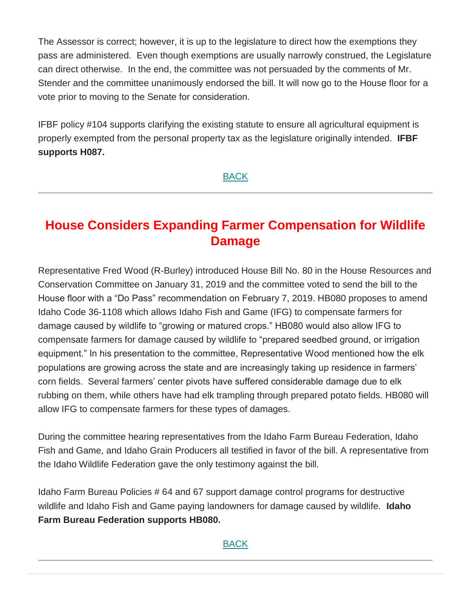The Assessor is correct; however, it is up to the legislature to direct how the exemptions they pass are administered. Even though exemptions are usually narrowly construed, the Legislature can direct otherwise. In the end, the committee was not persuaded by the comments of Mr. Stender and the committee unanimously endorsed the bill. It will now go to the House floor for a vote prior to moving to the Senate for consideration.

IFBF policy #104 supports clarifying the existing statute to ensure all agricultural equipment is properly exempted from the personal property tax as the legislature originally intended. **IFBF supports H087.**

**[BACK](https://mailchi.mp/idahofb.org/capitol-reflections-issue-5?e=a4ab29d1bd#Navigation)** 

# **House Considers Expanding Farmer Compensation for Wildlife Damage**

Representative Fred Wood (R-Burley) introduced House Bill No. 80 in the House Resources and Conservation Committee on January 31, 2019 and the committee voted to send the bill to the House floor with a "Do Pass" recommendation on February 7, 2019. HB080 proposes to amend Idaho Code 36-1108 which allows Idaho Fish and Game (IFG) to compensate farmers for damage caused by wildlife to "growing or matured crops." HB080 would also allow IFG to compensate farmers for damage caused by wildlife to "prepared seedbed ground, or irrigation equipment." In his presentation to the committee, Representative Wood mentioned how the elk populations are growing across the state and are increasingly taking up residence in farmers' corn fields. Several farmers' center pivots have suffered considerable damage due to elk rubbing on them, while others have had elk trampling through prepared potato fields. HB080 will allow IFG to compensate farmers for these types of damages.

During the committee hearing representatives from the Idaho Farm Bureau Federation, Idaho Fish and Game, and Idaho Grain Producers all testified in favor of the bill. A representative from the Idaho Wildlife Federation gave the only testimony against the bill.

Idaho Farm Bureau Policies # 64 and 67 support damage control programs for destructive wildlife and Idaho Fish and Game paying landowners for damage caused by wildlife. **Idaho Farm Bureau Federation supports HB080.**

#### [BACK](https://mailchi.mp/idahofb.org/capitol-reflections-issue-5?e=a4ab29d1bd#Navigation)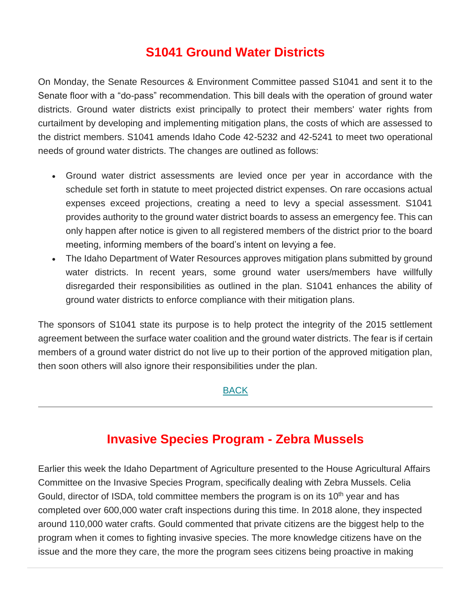## **S1041 Ground Water Districts**

On Monday, the Senate Resources & Environment Committee passed S1041 and sent it to the Senate floor with a "do-pass" recommendation. This bill deals with the operation of ground water districts. Ground water districts exist principally to protect their members' water rights from curtailment by developing and implementing mitigation plans, the costs of which are assessed to the district members. S1041 amends Idaho Code 42-5232 and 42-5241 to meet two operational needs of ground water districts. The changes are outlined as follows:

- Ground water district assessments are levied once per year in accordance with the schedule set forth in statute to meet projected district expenses. On rare occasions actual expenses exceed projections, creating a need to levy a special assessment. S1041 provides authority to the ground water district boards to assess an emergency fee. This can only happen after notice is given to all registered members of the district prior to the board meeting, informing members of the board's intent on levying a fee.
- The Idaho Department of Water Resources approves mitigation plans submitted by ground water districts. In recent years, some ground water users/members have willfully disregarded their responsibilities as outlined in the plan. S1041 enhances the ability of ground water districts to enforce compliance with their mitigation plans.

The sponsors of S1041 state its purpose is to help protect the integrity of the 2015 settlement agreement between the surface water coalition and the ground water districts. The fear is if certain members of a ground water district do not live up to their portion of the approved mitigation plan, then soon others will also ignore their responsibilities under the plan.

#### [BACK](https://mailchi.mp/idahofb.org/capitol-reflections-issue-5?e=a4ab29d1bd#Navigation)

### **Invasive Species Program - Zebra Mussels**

Earlier this week the Idaho Department of Agriculture presented to the House Agricultural Affairs Committee on the Invasive Species Program, specifically dealing with Zebra Mussels. Celia Gould, director of ISDA, told committee members the program is on its 10<sup>th</sup> year and has completed over 600,000 water craft inspections during this time. In 2018 alone, they inspected around 110,000 water crafts. Gould commented that private citizens are the biggest help to the program when it comes to fighting invasive species. The more knowledge citizens have on the issue and the more they care, the more the program sees citizens being proactive in making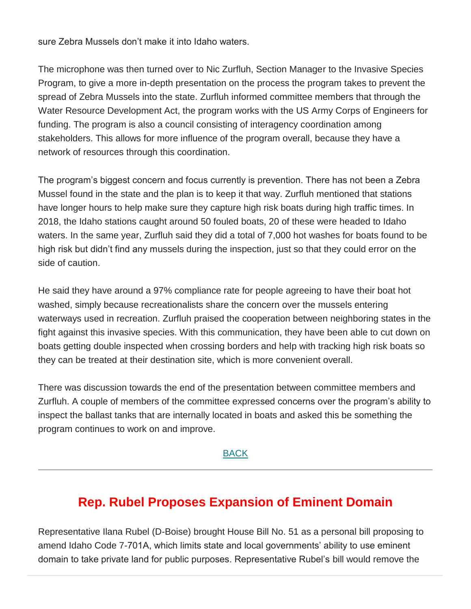sure Zebra Mussels don't make it into Idaho waters.

The microphone was then turned over to Nic Zurfluh, Section Manager to the Invasive Species Program, to give a more in-depth presentation on the process the program takes to prevent the spread of Zebra Mussels into the state. Zurfluh informed committee members that through the Water Resource Development Act, the program works with the US Army Corps of Engineers for funding. The program is also a council consisting of interagency coordination among stakeholders. This allows for more influence of the program overall, because they have a network of resources through this coordination.

The program's biggest concern and focus currently is prevention. There has not been a Zebra Mussel found in the state and the plan is to keep it that way. Zurfluh mentioned that stations have longer hours to help make sure they capture high risk boats during high traffic times. In 2018, the Idaho stations caught around 50 fouled boats, 20 of these were headed to Idaho waters. In the same year, Zurfluh said they did a total of 7,000 hot washes for boats found to be high risk but didn't find any mussels during the inspection, just so that they could error on the side of caution.

He said they have around a 97% compliance rate for people agreeing to have their boat hot washed, simply because recreationalists share the concern over the mussels entering waterways used in recreation. Zurfluh praised the cooperation between neighboring states in the fight against this invasive species. With this communication, they have been able to cut down on boats getting double inspected when crossing borders and help with tracking high risk boats so they can be treated at their destination site, which is more convenient overall.

There was discussion towards the end of the presentation between committee members and Zurfluh. A couple of members of the committee expressed concerns over the program's ability to inspect the ballast tanks that are internally located in boats and asked this be something the program continues to work on and improve.

#### [BACK](https://mailchi.mp/idahofb.org/capitol-reflections-issue-5?e=a4ab29d1bd#Navigation)

## **Rep. Rubel Proposes Expansion of Eminent Domain**

Representative Ilana Rubel (D-Boise) brought House Bill No. 51 as a personal bill proposing to amend Idaho Code 7-701A, which limits state and local governments' ability to use eminent domain to take private land for public purposes. Representative Rubel's bill would remove the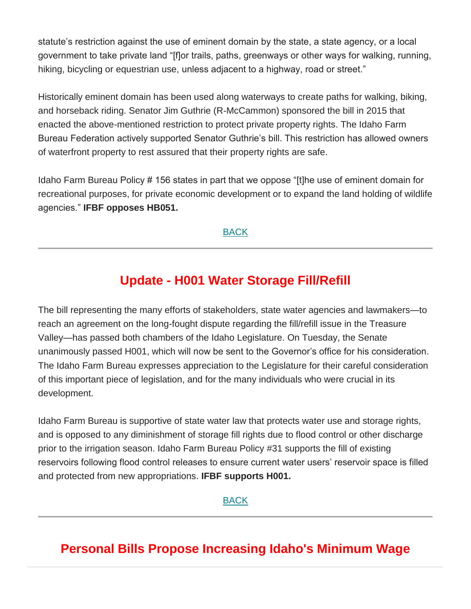statute's restriction against the use of eminent domain by the state, a state agency, or a local government to take private land "[f]or trails, paths, greenways or other ways for walking, running, hiking, bicycling or equestrian use, unless adjacent to a highway, road or street."

Historically eminent domain has been used along waterways to create paths for walking, biking, and horseback riding. Senator Jim Guthrie (R-McCammon) sponsored the bill in 2015 that enacted the above-mentioned restriction to protect private property rights. The Idaho Farm Bureau Federation actively supported Senator Guthrie's bill. This restriction has allowed owners of waterfront property to rest assured that their property rights are safe.

Idaho Farm Bureau Policy # 156 states in part that we oppose "[t]he use of eminent domain for recreational purposes, for private economic development or to expand the land holding of wildlife agencies." **IFBF opposes HB051.**

#### **[BACK](https://mailchi.mp/idahofb.org/capitol-reflections-issue-5?e=a4ab29d1bd#Navigation)**

### **Update - H001 Water Storage Fill/Refill**

The bill representing the many efforts of stakeholders, state water agencies and lawmakers—to reach an agreement on the long-fought dispute regarding the fill/refill issue in the Treasure Valley—has passed both chambers of the Idaho Legislature. On Tuesday, the Senate unanimously passed H001, which will now be sent to the Governor's office for his consideration. The Idaho Farm Bureau expresses appreciation to the Legislature for their careful consideration of this important piece of legislation, and for the many individuals who were crucial in its development.

Idaho Farm Bureau is supportive of state water law that protects water use and storage rights, and is opposed to any diminishment of storage fill rights due to flood control or other discharge prior to the irrigation season. Idaho Farm Bureau Policy #31 supports the fill of existing reservoirs following flood control releases to ensure current water users' reservoir space is filled and protected from new appropriations. **IFBF supports H001.**

#### [BACK](https://mailchi.mp/idahofb.org/capitol-reflections-issue-5?e=a4ab29d1bd#Navigation)

## **Personal Bills Propose Increasing Idaho's Minimum Wage**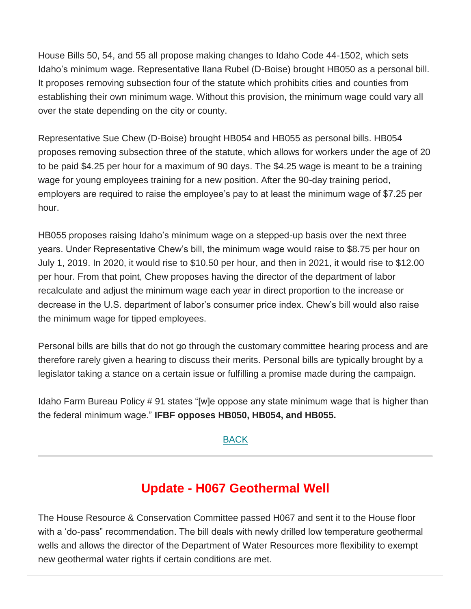House Bills 50, 54, and 55 all propose making changes to Idaho Code 44-1502, which sets Idaho's minimum wage. Representative Ilana Rubel (D-Boise) brought HB050 as a personal bill. It proposes removing subsection four of the statute which prohibits cities and counties from establishing their own minimum wage. Without this provision, the minimum wage could vary all over the state depending on the city or county.

Representative Sue Chew (D-Boise) brought HB054 and HB055 as personal bills. HB054 proposes removing subsection three of the statute, which allows for workers under the age of 20 to be paid \$4.25 per hour for a maximum of 90 days. The \$4.25 wage is meant to be a training wage for young employees training for a new position. After the 90-day training period, employers are required to raise the employee's pay to at least the minimum wage of \$7.25 per hour.

HB055 proposes raising Idaho's minimum wage on a stepped-up basis over the next three years. Under Representative Chew's bill, the minimum wage would raise to \$8.75 per hour on July 1, 2019. In 2020, it would rise to \$10.50 per hour, and then in 2021, it would rise to \$12.00 per hour. From that point, Chew proposes having the director of the department of labor recalculate and adjust the minimum wage each year in direct proportion to the increase or decrease in the U.S. department of labor's consumer price index. Chew's bill would also raise the minimum wage for tipped employees.

Personal bills are bills that do not go through the customary committee hearing process and are therefore rarely given a hearing to discuss their merits. Personal bills are typically brought by a legislator taking a stance on a certain issue or fulfilling a promise made during the campaign.

Idaho Farm Bureau Policy # 91 states "[w]e oppose any state minimum wage that is higher than the federal minimum wage." **IFBF opposes HB050, HB054, and HB055.**

#### [BACK](https://mailchi.mp/idahofb.org/capitol-reflections-issue-5?e=a4ab29d1bd#Navigation)

## **Update - H067 Geothermal Well**

The House Resource & Conservation Committee passed H067 and sent it to the House floor with a 'do-pass" recommendation. The bill deals with newly drilled low temperature geothermal wells and allows the director of the Department of Water Resources more flexibility to exempt new geothermal water rights if certain conditions are met.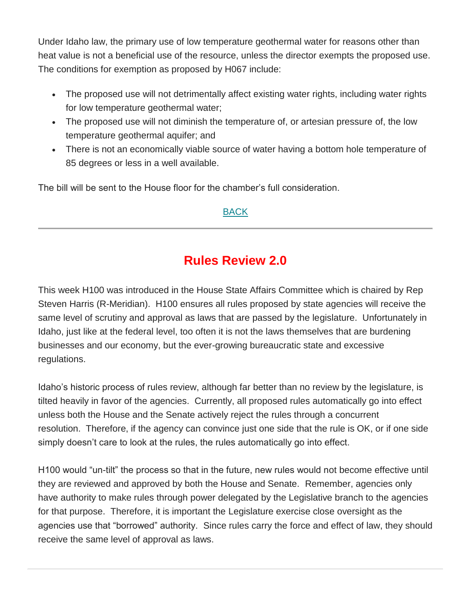Under Idaho law, the primary use of low temperature geothermal water for reasons other than heat value is not a beneficial use of the resource, unless the director exempts the proposed use. The conditions for exemption as proposed by H067 include:

- The proposed use will not detrimentally affect existing water rights, including water rights for low temperature geothermal water;
- The proposed use will not diminish the temperature of, or artesian pressure of, the low temperature geothermal aquifer; and
- There is not an economically viable source of water having a bottom hole temperature of 85 degrees or less in a well available.

The bill will be sent to the House floor for the chamber's full consideration.

#### [BACK](https://mailchi.mp/idahofb.org/capitol-reflections-issue-5?e=a4ab29d1bd#Navigation)

# **Rules Review 2.0**

This week H100 was introduced in the House State Affairs Committee which is chaired by Rep Steven Harris (R-Meridian). H100 ensures all rules proposed by state agencies will receive the same level of scrutiny and approval as laws that are passed by the legislature. Unfortunately in Idaho, just like at the federal level, too often it is not the laws themselves that are burdening businesses and our economy, but the ever-growing bureaucratic state and excessive regulations.

Idaho's historic process of rules review, although far better than no review by the legislature, is tilted heavily in favor of the agencies. Currently, all proposed rules automatically go into effect unless both the House and the Senate actively reject the rules through a concurrent resolution. Therefore, if the agency can convince just one side that the rule is OK, or if one side simply doesn't care to look at the rules, the rules automatically go into effect.

H100 would "un-tilt" the process so that in the future, new rules would not become effective until they are reviewed and approved by both the House and Senate. Remember, agencies only have authority to make rules through power delegated by the Legislative branch to the agencies for that purpose. Therefore, it is important the Legislature exercise close oversight as the agencies use that "borrowed" authority. Since rules carry the force and effect of law, they should receive the same level of approval as laws.